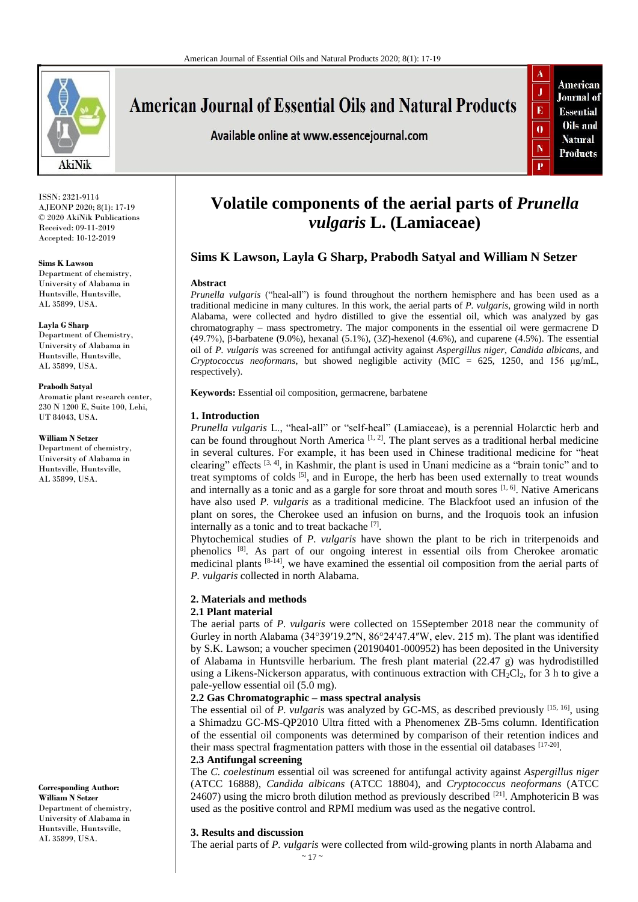

**American Journal of Essential Oils and Natural Products** 

Available online at www.essencejournal.com



ISSN: 2321-9114 AJEONP 2020; 8(1): 17-19 © 2020 AkiNik Publications Received: 09-11-2019 Accepted: 10-12-2019

**Sims K Lawson** 

Department of chemistry, University of Alabama in Huntsville, Huntsville, AL 35899, USA.

**Layla G Sharp**  Department of Chemistry, University of Alabama in Huntsville, Huntsville,

# AL 35899, USA. **Prabodh Satyal**

Aromatic plant research center, 230 N 1200 E, Suite 100, Lehi, UT 84043, USA.

**William N Setzer**  Department of chemistry, University of Alabama in Huntsville, Huntsville, AL 35899, USA.

**Corresponding Author: William N Setzer**  Department of chemistry, University of Alabama in Huntsville, Huntsville, AL 35899, USA.

# **Volatile components of the aerial parts of** *Prunella vulgaris* **L. (Lamiaceae)**

## **Sims K Lawson, Layla G Sharp, Prabodh Satyal and William N Setzer**

## **Abstract**

*Prunella vulgaris* ("heal-all") is found throughout the northern hemisphere and has been used as a traditional medicine in many cultures. In this work, the aerial parts of *P. vulgaris*, growing wild in north Alabama, were collected and hydro distilled to give the essential oil, which was analyzed by gas chromatography – mass spectrometry. The major components in the essential oil were germacrene D (49.7%), β-barbatene (9.0%), hexanal (5.1%), (3*Z*)-hexenol (4.6%), and cuparene (4.5%). The essential oil of *P. vulgaris* was screened for antifungal activity against *Aspergillus niger*, *Candida albicans*, and *Cryptococcus neoformans*, but showed negligible activity (MIC = 625, 1250, and 156 μg/mL, respectively).

**Keywords:** Essential oil composition, germacrene, barbatene

## **1. Introduction**

*Prunella vulgaris* L., "heal-all" or "self-heal" (Lamiaceae), is a perennial Holarctic herb and can be found throughout North America  $[1, 2]$ . The plant serves as a traditional herbal medicine in several cultures. For example, it has been used in Chinese traditional medicine for "heat clearing" effects  $[3, 4]$ , in Kashmir, the plant is used in Unani medicine as a "brain tonic" and to treat symptoms of colds  $[5]$ , and in Europe, the herb has been used externally to treat wounds and internally as a tonic and as a gargle for sore throat and mouth sores  $[1, 6]$ . Native Americans have also used *P. vulgaris* as a traditional medicine. The Blackfoot used an infusion of the plant on sores, the Cherokee used an infusion on burns, and the Iroquois took an infusion internally as a tonic and to treat backache [7].

Phytochemical studies of *P. vulgaris* have shown the plant to be rich in triterpenoids and phenolics <sup>[8]</sup>. As part of our ongoing interest in essential oils from Cherokee aromatic medicinal plants  $[8-14]$ , we have examined the essential oil composition from the aerial parts of *P. vulgaris* collected in north Alabama.

## **2. Materials and methods**

## **2.1 Plant material**

The aerial parts of *P. vulgaris* were collected on 15September 2018 near the community of Gurley in north Alabama  $(34°39'19.2''N, 86°24'47.4''W,$  elev.  $215$  m). The plant was identified by S.K. Lawson; a voucher specimen (20190401-000952) has been deposited in the University of Alabama in Huntsville herbarium. The fresh plant material (22.47 g) was hydrodistilled using a Likens-Nickerson apparatus, with continuous extraction with  $CH_2Cl_2$ , for 3 h to give a pale-yellow essential oil (5.0 mg).

## **2.2 Gas Chromatographic – mass spectral analysis**

The essential oil of *P. vulgaris* was analyzed by GC-MS, as described previously [15, 16], using a Shimadzu GC-MS-QP2010 Ultra fitted with a Phenomenex ZB-5ms column. Identification of the essential oil components was determined by comparison of their retention indices and their mass spectral fragmentation patters with those in the essential oil databases [17-20]. **2.3 Antifungal screening**

The *C. coelestinum* essential oil was screened for antifungal activity against *Aspergillus niger* (ATCC 16888), *Candida albicans* (ATCC 18804), and *Cryptococcus neoformans* (ATCC 24607) using the micro broth dilution method as previously described <sup>[21]</sup>. Amphotericin B was used as the positive control and RPMI medium was used as the negative control.

## **3. Results and discussion**

The aerial parts of *P. vulgaris* were collected from wild-growing plants in north Alabama and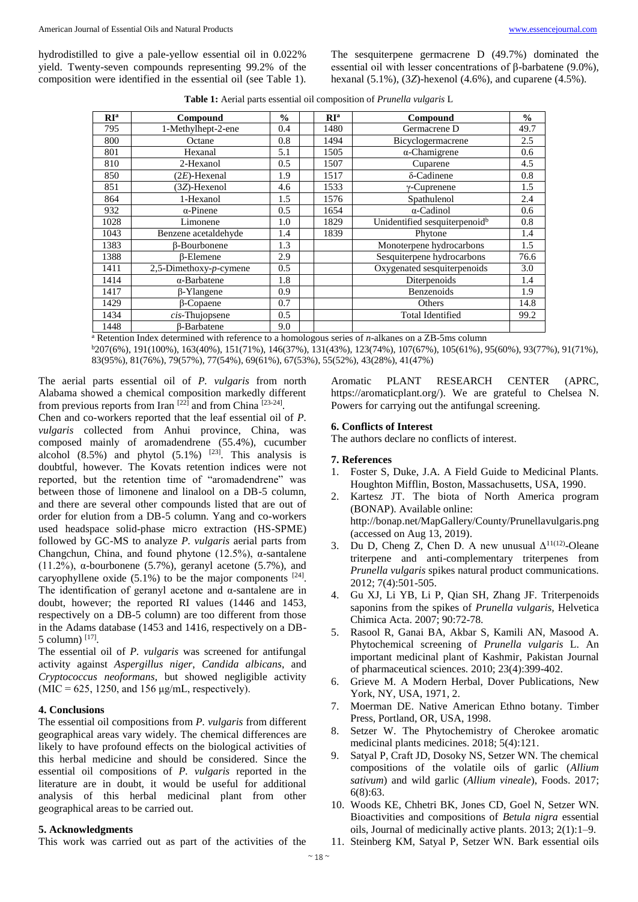hydrodistilled to give a pale-yellow essential oil in 0.022% yield. Twenty-seven compounds representing 99.2% of the composition were identified in the essential oil (see Table 1). The sesquiterpene germacrene D (49.7%) dominated the essential oil with lesser concentrations of β-barbatene (9.0%), hexanal (5.1%), (3*Z*)-hexenol (4.6%), and cuparene (4.5%).

|  | Table 1: Aerial parts essential oil composition of Prunella vulgaris L |  |  |  |  |
|--|------------------------------------------------------------------------|--|--|--|--|
|--|------------------------------------------------------------------------|--|--|--|--|

| $\mathbb{R}^{\mathbb{N}}$ | Compound                   | $\frac{0}{0}$ | RI <sup>a</sup> | Compound                                  | $\frac{0}{0}$ |
|---------------------------|----------------------------|---------------|-----------------|-------------------------------------------|---------------|
| 795                       | 1-Methylhept-2-ene         | 0.4           | 1480            | Germacrene D                              | 49.7          |
| 800                       | Octane                     | 0.8           | 1494            | Bicyclogermacrene                         | 2.5           |
| 801                       | Hexanal                    | 5.1           | 1505            | $\alpha$ -Chamigrene                      | 0.6           |
| 810                       | 2-Hexanol                  | 0.5           | 1507            | Cuparene                                  | 4.5           |
| 850                       | $(2E)$ -Hexenal            | 1.9           | 1517            | δ-Cadinene                                | 0.8           |
| 851                       | (3Z)-Hexenol               | 4.6           | 1533            | $\gamma$ -Cuprenene                       | 1.5           |
| 864                       | 1-Hexanol                  | 1.5           | 1576            | Spathulenol                               | 2.4           |
| 932                       | $\alpha$ -Pinene           | 0.5           | 1654            | $\alpha$ -Cadinol                         | 0.6           |
| 1028                      | Limonene                   | 1.0           | 1829            | Unidentified sesquiterpenoid <sup>b</sup> | 0.8           |
| 1043                      | Benzene acetaldehyde       | 1.4           | 1839            | Phytone                                   | 1.4           |
| 1383                      | <b>ß-Bourbonene</b>        | 1.3           |                 | Monoterpene hydrocarbons                  | 1.5           |
| 1388                      | <b>B-Elemene</b>           | 2.9           |                 | Sesquiterpene hydrocarbons                | 76.6          |
| 1411                      | 2,5-Dimethoxy- $p$ -cymene | 0.5           |                 | Oxygenated sesquiterpenoids               | 3.0           |
| 1414                      | $\alpha$ -Barbatene        | 1.8           |                 | Diterpenoids                              | 1.4           |
| 1417                      | $\beta$ -Ylangene          | 0.9           |                 | Benzenoids                                | 1.9           |
| 1429                      | <b>B-Copaene</b>           | 0.7           |                 | Others                                    | 14.8          |
| 1434                      | $cis$ -Thujopsene          | 0.5           |                 | <b>Total Identified</b>                   | 99.2          |
| 1448                      | <b>B-Barbatene</b>         | 9.0           |                 |                                           |               |

<sup>a</sup> Retention Index determined with reference to a homologous series of *n*-alkanes on a ZB-5ms column

<sup>b</sup>207(6%), 191(100%), 163(40%), 151(71%), 146(37%), 131(43%), 123(74%), 107(67%), 105(61%), 95(60%), 93(77%), 91(71%), 83(95%), 81(76%), 79(57%), 77(54%), 69(61%), 67(53%), 55(52%), 43(28%), 41(47%)

The aerial parts essential oil of *P. vulgaris* from north Alabama showed a chemical composition markedly different from previous reports from Iran <sup>[22]</sup> and from China <sup>[23-24]</sup>.

Chen and co-workers reported that the leaf essential oil of *P. vulgaris* collected from Anhui province, China, was composed mainly of aromadendrene (55.4%), cucumber alcohol  $(8.5\%)$  and phytol  $(5.1\%)$ <sup>[23]</sup>. This analysis is doubtful, however. The Kovats retention indices were not reported, but the retention time of "aromadendrene" was between those of limonene and linalool on a DB-5 column, and there are several other compounds listed that are out of order for elution from a DB-5 column. Yang and co-workers used headspace solid-phase micro extraction (HS-SPME) followed by GC-MS to analyze *P. vulgaris* aerial parts from Changchun, China, and found phytone (12.5%), α-santalene (11.2%),  $\alpha$ -bourbonene (5.7%), geranyl acetone (5.7%), and caryophyllene oxide  $(5.1\%)$  to be the major components  $[24]$ . The identification of geranyl acetone and α-santalene are in doubt, however; the reported RI values (1446 and 1453, respectively on a DB-5 column) are too different from those in the Adams database (1453 and 1416, respectively on a DB- $5$  column)  $^{[17]}$ .

The essential oil of *P. vulgaris* was screened for antifungal activity against *Aspergillus niger*, *Candida albicans*, and *Cryptococcus neoformans*, but showed negligible activity  $(MIC = 625, 1250, and 156 \mu g/mL$ , respectively).

## **4. Conclusions**

The essential oil compositions from *P. vulgaris* from different geographical areas vary widely. The chemical differences are likely to have profound effects on the biological activities of this herbal medicine and should be considered. Since the essential oil compositions of *P. vulgaris* reported in the literature are in doubt, it would be useful for additional analysis of this herbal medicinal plant from other geographical areas to be carried out.

#### **5. Acknowledgments**

This work was carried out as part of the activities of the

Aromatic PLANT RESEARCH CENTER (APRC, https://aromaticplant.org/). We are grateful to Chelsea N. Powers for carrying out the antifungal screening.

## **6. Conflicts of Interest**

The authors declare no conflicts of interest.

### **7. References**

- 1. Foster S, Duke, J.A. A Field Guide to Medicinal Plants. Houghton Mifflin, Boston, Massachusetts, USA, 1990.
- 2. Kartesz JT. The biota of North America program (BONAP). Available online: http://bonap.net/MapGallery/County/Prunellavulgaris.png (accessed on Aug 13, 2019).
- 3. Du D, Cheng Z, Chen D. A new unusual  $\Delta^{11(12)}$ -Oleane triterpene and anti-complementary triterpenes from *Prunella vulgaris* spikes natural product communications. 2012; 7(4):501-505.
- 4. Gu XJ, Li YB, Li P, Qian SH, Zhang JF. Triterpenoids saponins from the spikes of *Prunella vulgaris,* Helvetica Chimica Acta. 2007; 90:72-78.
- 5. Rasool R, Ganai BA, Akbar S, Kamili AN, Masood A. Phytochemical screening of *Prunella vulgaris* L. An important medicinal plant of Kashmir, Pakistan Journal of pharmaceutical sciences. 2010; 23(4):399-402.
- 6. Grieve M. A Modern Herbal, Dover Publications, New York, NY, USA, 1971, 2.
- 7. Moerman DE. Native American Ethno botany. Timber Press, Portland, OR, USA, 1998.
- 8. Setzer W. The Phytochemistry of Cherokee aromatic medicinal plants medicines. 2018; 5(4):121.
- 9. Satyal P, Craft JD, Dosoky NS, Setzer WN. The chemical compositions of the volatile oils of garlic (*Allium sativum*) and wild garlic (*Allium vineale*), Foods. 2017; 6(8):63.
- 10. Woods KE, Chhetri BK, Jones CD, Goel N, Setzer WN. Bioactivities and compositions of *Betula nigra* essential oils, Journal of medicinally active plants. 2013; 2(1):1–9.
- 11. Steinberg KM, Satyal P, Setzer WN. Bark essential oils